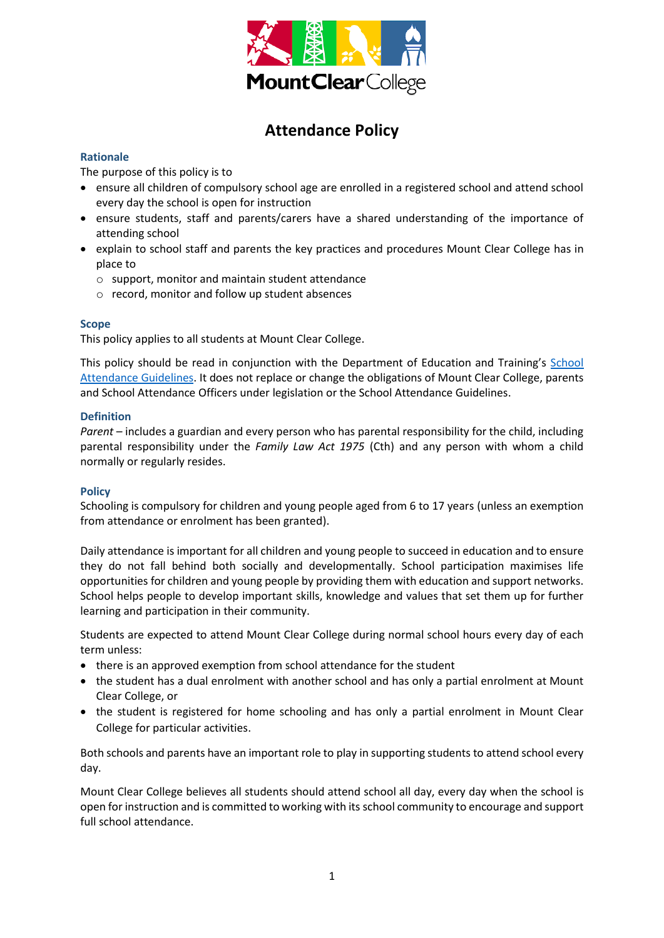

# **Attendance Policy**

## **Rationale**

The purpose of this policy is to

- ensure all children of compulsory school age are enrolled in a registered school and attend school every day the school is open for instruction
- ensure students, staff and parents/carers have a shared understanding of the importance of attending school
- explain to school staff and parents the key practices and procedures Mount Clear College has in place to
	- o support, monitor and maintain student attendance
	- o record, monitor and follow up student absences

#### **Scope**

This policy applies to all students at Mount Clear College.

This policy should be read in conjunction with the Department of Education and Training's [School](http://www.education.vic.gov.au/school/teachers/studentmanagement/Pages/attendance.aspx)  [Attendance Guidelines.](http://www.education.vic.gov.au/school/teachers/studentmanagement/Pages/attendance.aspx) It does not replace or change the obligations of Mount Clear College, parents and School Attendance Officers under legislation or the School Attendance Guidelines.

#### **Definition**

*Parent* – includes a guardian and every person who has parental responsibility for the child, including parental responsibility under the *Family Law Act 1975* (Cth) and any person with whom a child normally or regularly resides.

#### **Policy**

Schooling is compulsory for children and young people aged from 6 to 17 years (unless an exemption from attendance or enrolment has been granted).

Daily attendance is important for all children and young people to succeed in education and to ensure they do not fall behind both socially and developmentally. School participation maximises life opportunities for children and young people by providing them with education and support networks. School helps people to develop important skills, knowledge and values that set them up for further learning and participation in their community.

Students are expected to attend Mount Clear College during normal school hours every day of each term unless:

- there is an approved exemption from school attendance for the student
- the student has a dual enrolment with another school and has only a partial enrolment at Mount Clear College, or
- the student is registered for home schooling and has only a partial enrolment in Mount Clear College for particular activities.

Both schools and parents have an important role to play in supporting students to attend school every day.

Mount Clear College believes all students should attend school all day, every day when the school is open for instruction and is committed to working with its school community to encourage and support full school attendance.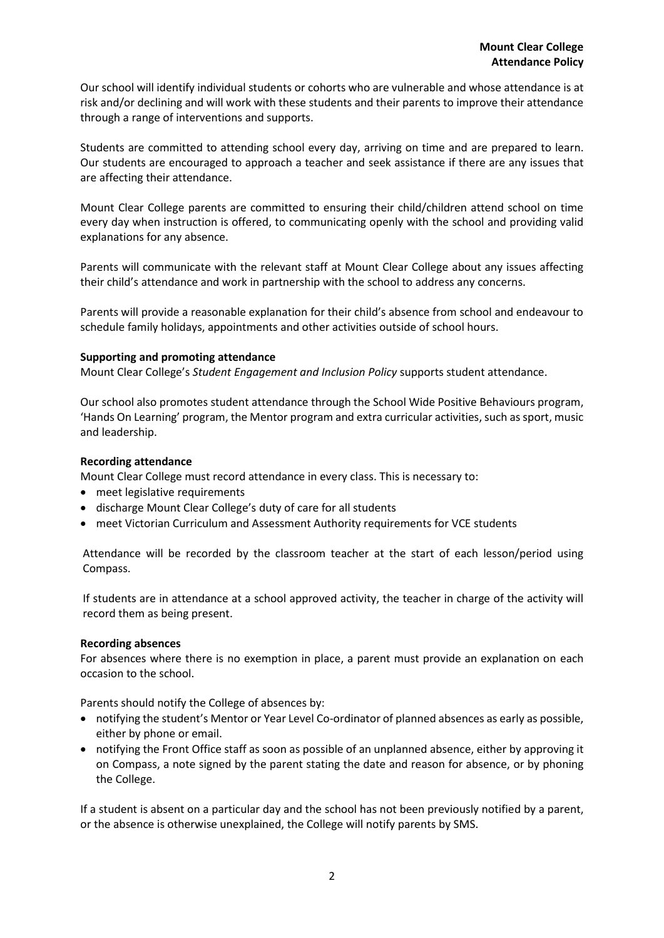Our school will identify individual students or cohorts who are vulnerable and whose attendance is at risk and/or declining and will work with these students and their parents to improve their attendance through a range of interventions and supports.

Students are committed to attending school every day, arriving on time and are prepared to learn. Our students are encouraged to approach a teacher and seek assistance if there are any issues that are affecting their attendance.

Mount Clear College parents are committed to ensuring their child/children attend school on time every day when instruction is offered, to communicating openly with the school and providing valid explanations for any absence.

Parents will communicate with the relevant staff at Mount Clear College about any issues affecting their child's attendance and work in partnership with the school to address any concerns.

Parents will provide a reasonable explanation for their child's absence from school and endeavour to schedule family holidays, appointments and other activities outside of school hours.

#### **Supporting and promoting attendance**

Mount Clear College's *Student Engagement and Inclusion Policy* supports student attendance.

Our school also promotes student attendance through the School Wide Positive Behaviours program, 'Hands On Learning' program, the Mentor program and extra curricular activities, such as sport, music and leadership.

#### **Recording attendance**

Mount Clear College must record attendance in every class. This is necessary to:

- meet legislative requirements
- discharge Mount Clear College's duty of care for all students
- meet Victorian Curriculum and Assessment Authority requirements for VCE students

Attendance will be recorded by the classroom teacher at the start of each lesson/period using Compass.

If students are in attendance at a school approved activity, the teacher in charge of the activity will record them as being present.

#### **Recording absences**

For absences where there is no exemption in place, a parent must provide an explanation on each occasion to the school.

Parents should notify the College of absences by:

- notifying the student's Mentor or Year Level Co-ordinator of planned absences as early as possible, either by phone or email.
- notifying the Front Office staff as soon as possible of an unplanned absence, either by approving it on Compass, a note signed by the parent stating the date and reason for absence, or by phoning the College.

If a student is absent on a particular day and the school has not been previously notified by a parent, or the absence is otherwise unexplained, the College will notify parents by SMS.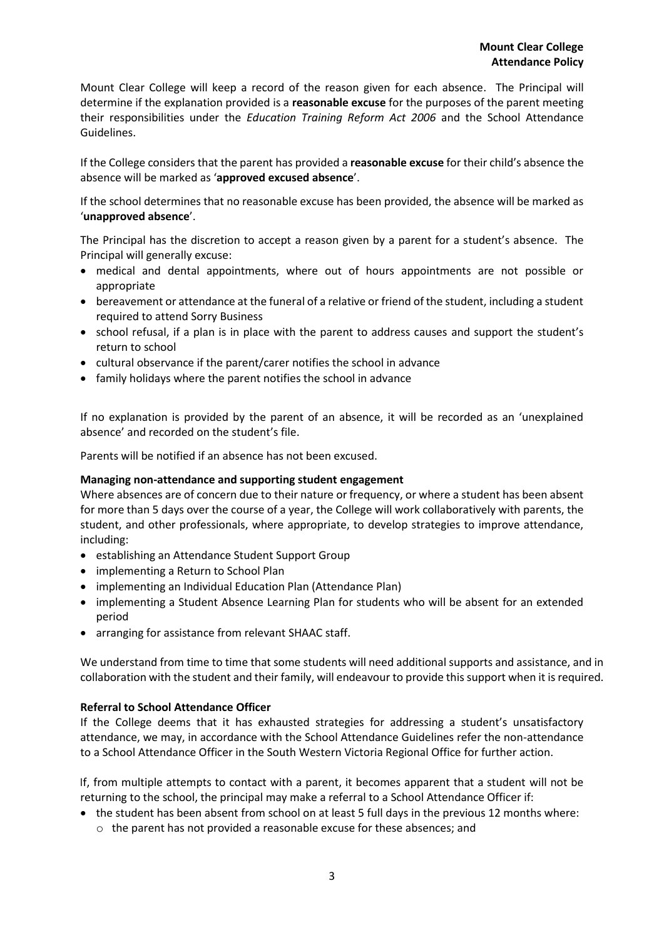Mount Clear College will keep a record of the reason given for each absence. The Principal will determine if the explanation provided is a **reasonable excuse** for the purposes of the parent meeting their responsibilities under the *Education Training Reform Act 2006* and the School Attendance Guidelines.

If the College considers that the parent has provided a **reasonable excuse** for their child's absence the absence will be marked as '**approved excused absence**'.

If the school determines that no reasonable excuse has been provided, the absence will be marked as '**unapproved absence**'.

The Principal has the discretion to accept a reason given by a parent for a student's absence. The Principal will generally excuse:

- medical and dental appointments, where out of hours appointments are not possible or appropriate
- bereavement or attendance at the funeral of a relative or friend of the student, including a student required to attend Sorry Business
- school refusal, if a plan is in place with the parent to address causes and support the student's return to school
- cultural observance if the parent/carer notifies the school in advance
- family holidays where the parent notifies the school in advance

If no explanation is provided by the parent of an absence, it will be recorded as an 'unexplained absence' and recorded on the student's file.

Parents will be notified if an absence has not been excused.

#### **Managing non-attendance and supporting student engagement**

Where absences are of concern due to their nature or frequency, or where a student has been absent for more than 5 days over the course of a year, the College will work collaboratively with parents, the student, and other professionals, where appropriate, to develop strategies to improve attendance, including:

- establishing an Attendance Student Support Group
- implementing a Return to School Plan
- implementing an Individual Education Plan (Attendance Plan)
- implementing a Student Absence Learning Plan for students who will be absent for an extended period
- arranging for assistance from relevant SHAAC staff.

We understand from time to time that some students will need additional supports and assistance, and in collaboration with the student and their family, will endeavour to provide this support when it is required.

## **Referral to School Attendance Officer**

If the College deems that it has exhausted strategies for addressing a student's unsatisfactory attendance, we may, in accordance with the School Attendance Guidelines refer the non-attendance to a School Attendance Officer in the South Western Victoria Regional Office for further action.

If, from multiple attempts to contact with a parent, it becomes apparent that a student will not be returning to the school, the principal may make a referral to a School Attendance Officer if:

- the student has been absent from school on at least 5 full days in the previous 12 months where:
	- o the parent has not provided a reasonable excuse for these absences; and